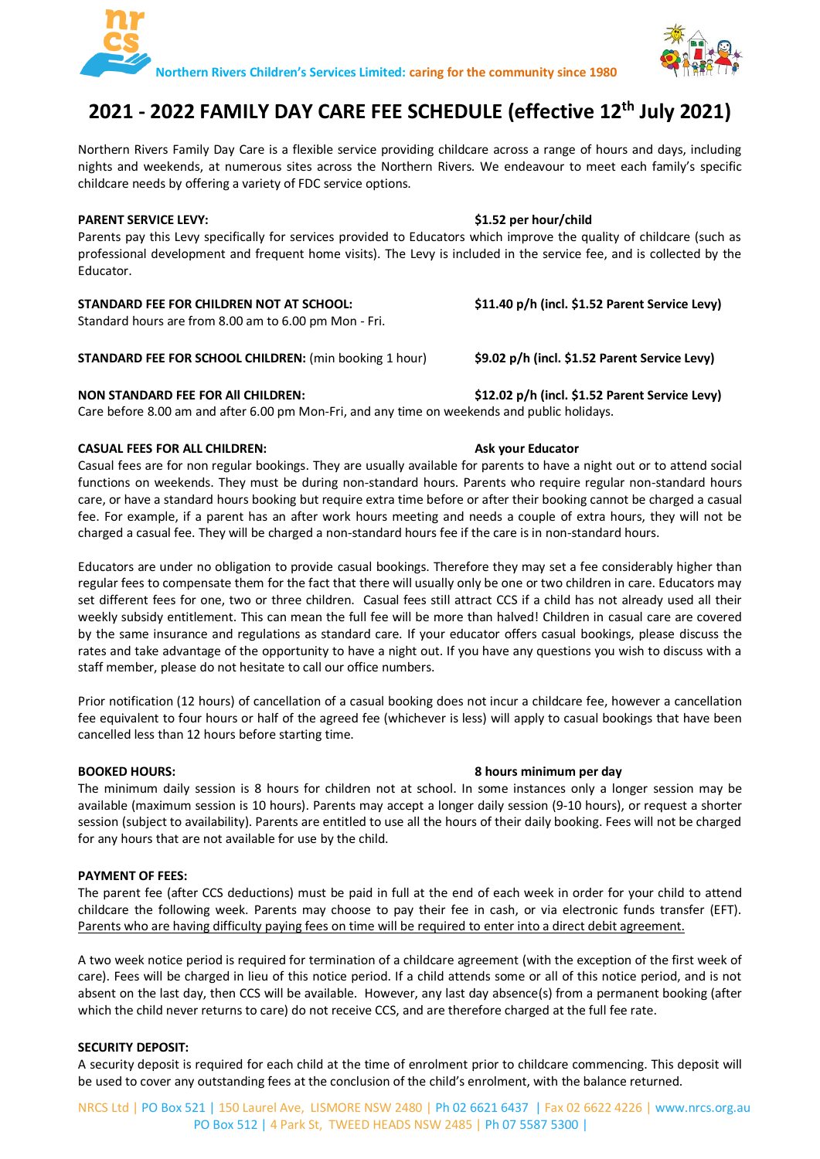



# **2021 - 2022 FAMILY DAY CARE FEE SCHEDULE (effective 12th July 2021)**

Northern Rivers Family Day Care is a flexible service providing childcare across a range of hours and days, including nights and weekends, at numerous sites across the Northern Rivers. We endeavour to meet each family's specific childcare needs by offering a variety of FDC service options.

## **PARENT SERVICE LEVY: \$1.52 per hour/child**

Parents pay this Levy specifically for services provided to Educators which improve the quality of childcare (such as professional development and frequent home visits). The Levy is included in the service fee, and is collected by the Educator.

# **STANDARD FEE FOR CHILDREN NOT AT SCHOOL: \$11.40 p/h (incl. \$1.52 Parent Service Levy)**

Standard hours are from 8.00 am to 6.00 pm Mon - Fri.

# **STANDARD FEE FOR SCHOOL CHILDREN:** (min booking 1 hour) **\$9.02 p/h (incl. \$1.52 Parent Service Levy)**

# **NON STANDARD FEE FOR All CHILDREN: \$12.02 p/h (incl. \$1.52 Parent Service Levy)**

Care before 8.00 am and after 6.00 pm Mon-Fri, and any time on weekends and public holidays.

# **CASUAL FEES FOR ALL CHILDREN: Ask your Educator**

Casual fees are for non regular bookings. They are usually available for parents to have a night out or to attend social functions on weekends. They must be during non-standard hours. Parents who require regular non-standard hours care, or have a standard hours booking but require extra time before or after their booking cannot be charged a casual fee. For example, if a parent has an after work hours meeting and needs a couple of extra hours, they will not be charged a casual fee. They will be charged a non-standard hours fee if the care is in non-standard hours.

Educators are under no obligation to provide casual bookings. Therefore they may set a fee considerably higher than regular fees to compensate them for the fact that there will usually only be one or two children in care. Educators may set different fees for one, two or three children. Casual fees still attract CCS if a child has not already used all their weekly subsidy entitlement. This can mean the full fee will be more than halved! Children in casual care are covered by the same insurance and regulations as standard care. If your educator offers casual bookings, please discuss the rates and take advantage of the opportunity to have a night out. If you have any questions you wish to discuss with a staff member, please do not hesitate to call our office numbers.

Prior notification (12 hours) of cancellation of a casual booking does not incur a childcare fee, however a cancellation fee equivalent to four hours or half of the agreed fee (whichever is less) will apply to casual bookings that have been cancelled less than 12 hours before starting time.

#### **BOOKED HOURS: 8 hours minimum per day** The minimum daily session is 8 hours for children not at school. In some instances only a longer session may be available (maximum session is 10 hours). Parents may accept a longer daily session (9-10 hours), or request a shorter session (subject to availability). Parents are entitled to use all the hours of their daily booking. Fees will not be charged

# **PAYMENT OF FEES:**

for any hours that are not available for use by the child.

The parent fee (after CCS deductions) must be paid in full at the end of each week in order for your child to attend childcare the following week. Parents may choose to pay their fee in cash, or via electronic funds transfer (EFT). Parents who are having difficulty paying fees on time will be required to enter into a direct debit agreement.

A two week notice period is required for termination of a childcare agreement (with the exception of the first week of care). Fees will be charged in lieu of this notice period. If a child attends some or all of this notice period, and is not absent on the last day, then CCS will be available. However, any last day absence(s) from a permanent booking (after which the child never returns to care) do not receive CCS, and are therefore charged at the full fee rate.

## **SECURITY DEPOSIT:**

A security deposit is required for each child at the time of enrolment prior to childcare commencing. This deposit will be used to cover any outstanding fees at the conclusion of the child's enrolment, with the balance returned.

# NRCS Ltd | PO Box 521 | 150 Laurel Ave, LISMORE NSW 2480 | Ph 02 6621 6437 | Fax 02 6622 4226 | www.nrcs.org.au PO Box 512 | 4 Park St, TWEED HEADS NSW 2485 | Ph 07 5587 5300 |